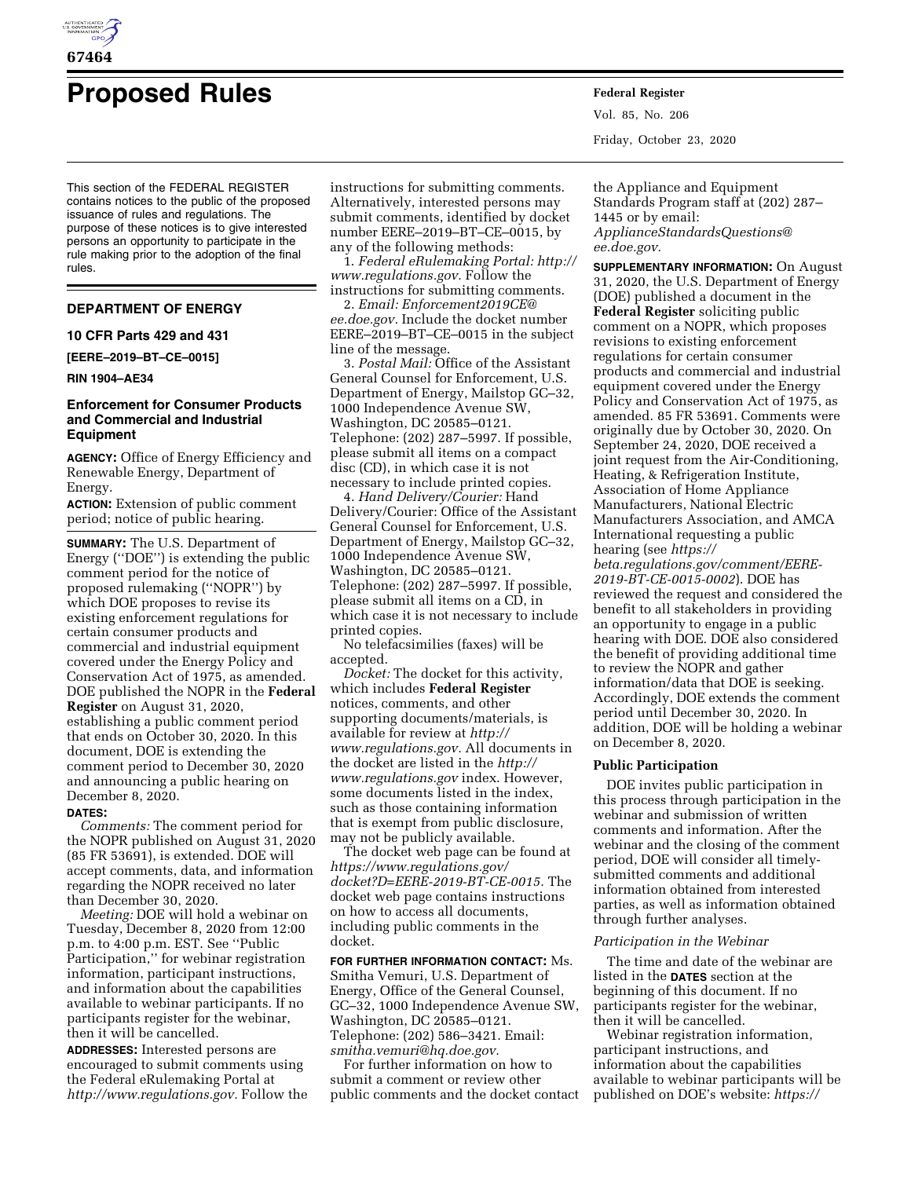

# **Proposed Rules Federal Register**

This section of the FEDERAL REGISTER contains notices to the public of the proposed issuance of rules and regulations. The purpose of these notices is to give interested persons an opportunity to participate in the rule making prior to the adoption of the final rules.

# **DEPARTMENT OF ENERGY**

## **10 CFR Parts 429 and 431**

**[EERE–2019–BT–CE–0015]** 

#### **RIN 1904–AE34**

# **Enforcement for Consumer Products and Commercial and Industrial Equipment**

**AGENCY:** Office of Energy Efficiency and Renewable Energy, Department of Energy.

**ACTION:** Extension of public comment period; notice of public hearing.

**SUMMARY:** The U.S. Department of Energy (''DOE'') is extending the public comment period for the notice of proposed rulemaking (''NOPR'') by which DOE proposes to revise its existing enforcement regulations for certain consumer products and commercial and industrial equipment covered under the Energy Policy and Conservation Act of 1975, as amended. DOE published the NOPR in the **Federal Register** on August 31, 2020, establishing a public comment period that ends on October 30, 2020. In this document, DOE is extending the comment period to December 30, 2020 and announcing a public hearing on December 8, 2020.

#### **DATES:**

*Comments:* The comment period for the NOPR published on August 31, 2020 (85 FR 53691), is extended. DOE will accept comments, data, and information regarding the NOPR received no later than December 30, 2020.

*Meeting:* DOE will hold a webinar on Tuesday, December 8, 2020 from 12:00 p.m. to 4:00 p.m. EST. See ''Public Participation,'' for webinar registration information, participant instructions, and information about the capabilities available to webinar participants. If no participants register for the webinar, then it will be cancelled.

**ADDRESSES:** Interested persons are encouraged to submit comments using the Federal eRulemaking Portal at *[http://www.regulations.gov.](http://www.regulations.gov)* Follow the instructions for submitting comments. Alternatively, interested persons may submit comments, identified by docket number EERE–2019–BT–CE–0015, by any of the following methods:

1. *Federal eRulemaking Portal: [http://](http://www.regulations.gov)  [www.regulations.gov.](http://www.regulations.gov)* Follow the instructions for submitting comments.

2. *Email: [Enforcement2019CE@](mailto:Enforcement2019CE@ee.doe.gov) [ee.doe.gov.](mailto:Enforcement2019CE@ee.doe.gov)* Include the docket number EERE–2019–BT–CE–0015 in the subject line of the message.

3. *Postal Mail:* Office of the Assistant General Counsel for Enforcement, U.S. Department of Energy, Mailstop GC–32, 1000 Independence Avenue SW, Washington, DC 20585–0121. Telephone: (202) 287–5997. If possible, please submit all items on a compact disc (CD), in which case it is not necessary to include printed copies.

4. *Hand Delivery/Courier:* Hand Delivery/Courier: Office of the Assistant General Counsel for Enforcement, U.S. Department of Energy, Mailstop GC–32, 1000 Independence Avenue SW, Washington, DC 20585–0121. Telephone: (202) 287–5997. If possible, please submit all items on a CD, in which case it is not necessary to include printed copies.

No telefacsimilies (faxes) will be accepted.

*Docket:* The docket for this activity, which includes **Federal Register**  notices, comments, and other supporting documents/materials, is available for review at *[http://](http://www.regulations.gov) [www.regulations.gov.](http://www.regulations.gov)* All documents in the docket are listed in the *[http://](http://www.regulations.gov) [www.regulations.gov](http://www.regulations.gov)* index. However, some documents listed in the index, such as those containing information that is exempt from public disclosure, may not be publicly available.

The docket web page can be found at *[https://www.regulations.gov/](https://www.regulations.gov/docket?D=EERE-2019-BT-CE-0015)  [docket?D=EERE-2019-BT-CE-0015.](https://www.regulations.gov/docket?D=EERE-2019-BT-CE-0015)* The docket web page contains instructions on how to access all documents, including public comments in the docket.

**FOR FURTHER INFORMATION CONTACT:** Ms. Smitha Vemuri, U.S. Department of Energy, Office of the General Counsel, GC–32, 1000 Independence Avenue SW, Washington, DC 20585–0121. Telephone: (202) 586–3421. Email: *[smitha.vemuri@hq.doe.gov.](mailto:smitha.vemuri@hq.doe.gov)* 

For further information on how to submit a comment or review other public comments and the docket contact Vol. 85, No. 206 Friday, October 23, 2020

the Appliance and Equipment Standards Program staff at (202) 287– 1445 or by email: *[ApplianceStandardsQuestions@](mailto:ApplianceStandardsQuestions@ee.doe.gov) [ee.doe.gov.](mailto:ApplianceStandardsQuestions@ee.doe.gov)* 

**SUPPLEMENTARY INFORMATION:** On August 31, 2020, the U.S. Department of Energy (DOE) published a document in the **Federal Register** soliciting public comment on a NOPR, which proposes revisions to existing enforcement regulations for certain consumer products and commercial and industrial equipment covered under the Energy Policy and Conservation Act of 1975, as amended. 85 FR 53691. Comments were originally due by October 30, 2020. On September 24, 2020, DOE received a joint request from the Air-Conditioning, Heating, & Refrigeration Institute, Association of Home Appliance Manufacturers, National Electric Manufacturers Association, and AMCA International requesting a public hearing (see *[https://](https://beta.regulations.gov/comment/EERE-2019-BT-CE-0015-0002)*

*[beta.regulations.gov/comment/EERE-](https://beta.regulations.gov/comment/EERE-2019-BT-CE-0015-0002)[2019-BT-CE-0015-0002](https://beta.regulations.gov/comment/EERE-2019-BT-CE-0015-0002)*). DOE has reviewed the request and considered the benefit to all stakeholders in providing an opportunity to engage in a public hearing with DOE. DOE also considered the benefit of providing additional time to review the NOPR and gather information/data that DOE is seeking. Accordingly, DOE extends the comment period until December 30, 2020. In addition, DOE will be holding a webinar on December 8, 2020.

#### **Public Participation**

DOE invites public participation in this process through participation in the webinar and submission of written comments and information. After the webinar and the closing of the comment period, DOE will consider all timelysubmitted comments and additional information obtained from interested parties, as well as information obtained through further analyses.

## *Participation in the Webinar*

The time and date of the webinar are listed in the **DATES** section at the beginning of this document. If no participants register for the webinar, then it will be cancelled.

Webinar registration information, participant instructions, and information about the capabilities available to webinar participants will be published on DOE's website: *[https://](https://cms.doe.gov/eere/buildings/public-meetings-and-comment-deadlines)*